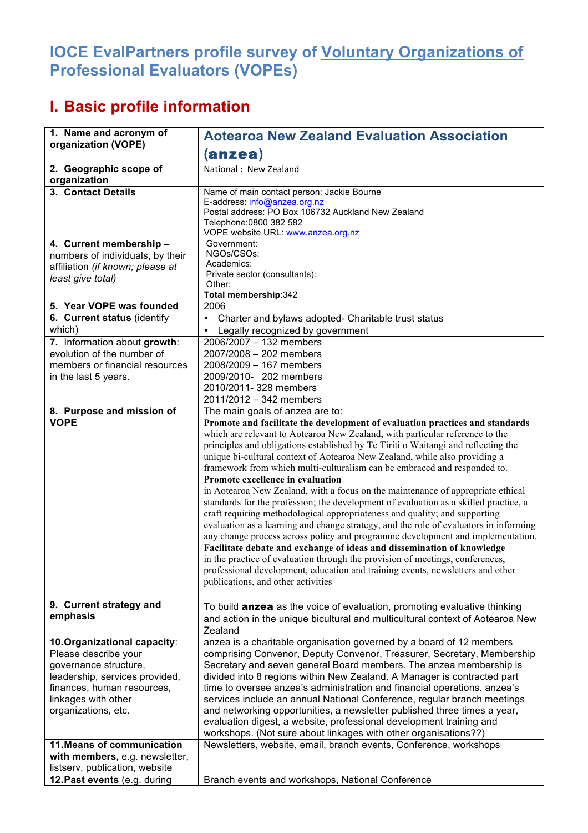## **IOCE EvalPartners profile survey of Voluntary Organizations of Professional Evaluators (VOPEs)**

## **I. Basic profile information**

| 1. Name and acronym of                                  | <b>Aotearoa New Zealand Evaluation Association</b>                                                                                            |  |  |  |
|---------------------------------------------------------|-----------------------------------------------------------------------------------------------------------------------------------------------|--|--|--|
| organization (VOPE)                                     |                                                                                                                                               |  |  |  |
|                                                         | (anzea)                                                                                                                                       |  |  |  |
| 2. Geographic scope of                                  | National: New Zealand                                                                                                                         |  |  |  |
| organization                                            |                                                                                                                                               |  |  |  |
| 3. Contact Details                                      | Name of main contact person: Jackie Bourne                                                                                                    |  |  |  |
|                                                         | E-address: info@anzea.org.nz<br>Postal address: PO Box 106732 Auckland New Zealand                                                            |  |  |  |
|                                                         | Telephone: 0800 382 582                                                                                                                       |  |  |  |
|                                                         | VOPE website URL: www.anzea.org.nz                                                                                                            |  |  |  |
| 4. Current membership -                                 | Government:                                                                                                                                   |  |  |  |
| numbers of individuals, by their                        | NGOs/CSOs:                                                                                                                                    |  |  |  |
| affiliation (if known; please at                        | Academics:                                                                                                                                    |  |  |  |
| least give total)                                       | Private sector (consultants):<br>Other:                                                                                                       |  |  |  |
|                                                         | Total membership:342                                                                                                                          |  |  |  |
| 5. Year VOPE was founded                                | 2006                                                                                                                                          |  |  |  |
| 6. Current status (identify                             | Charter and bylaws adopted- Charitable trust status<br>$\bullet$                                                                              |  |  |  |
| which)                                                  | Legally recognized by government                                                                                                              |  |  |  |
| 7. Information about growth:                            | $2006/2007 - 132$ members                                                                                                                     |  |  |  |
| evolution of the number of                              | 2007/2008 - 202 members                                                                                                                       |  |  |  |
| members or financial resources                          | 2008/2009 - 167 members                                                                                                                       |  |  |  |
| in the last 5 years.                                    | 2009/2010- 202 members                                                                                                                        |  |  |  |
|                                                         | 2010/2011- 328 members                                                                                                                        |  |  |  |
|                                                         | 2011/2012 - 342 members                                                                                                                       |  |  |  |
| 8. Purpose and mission of                               | The main goals of anzea are to:                                                                                                               |  |  |  |
| <b>VOPE</b>                                             | Promote and facilitate the development of evaluation practices and standards                                                                  |  |  |  |
|                                                         | which are relevant to Aotearoa New Zealand, with particular reference to the                                                                  |  |  |  |
|                                                         | principles and obligations established by Te Tiriti o Waitangi and reflecting the                                                             |  |  |  |
|                                                         | unique bi-cultural context of Aotearoa New Zealand, while also providing a                                                                    |  |  |  |
|                                                         | framework from which multi-culturalism can be embraced and responded to.                                                                      |  |  |  |
|                                                         | Promote excellence in evaluation                                                                                                              |  |  |  |
|                                                         | in Aotearoa New Zealand, with a focus on the maintenance of appropriate ethical                                                               |  |  |  |
|                                                         | standards for the profession; the development of evaluation as a skilled practice, a                                                          |  |  |  |
|                                                         | craft requiring methodological appropriateness and quality; and supporting                                                                    |  |  |  |
|                                                         | evaluation as a learning and change strategy, and the role of evaluators in informing                                                         |  |  |  |
|                                                         | any change process across policy and programme development and implementation.                                                                |  |  |  |
|                                                         | Facilitate debate and exchange of ideas and dissemination of knowledge                                                                        |  |  |  |
|                                                         | in the practice of evaluation through the provision of meetings, conferences,                                                                 |  |  |  |
|                                                         | professional development, education and training events, newsletters and other                                                                |  |  |  |
|                                                         | publications, and other activities                                                                                                            |  |  |  |
|                                                         |                                                                                                                                               |  |  |  |
| 9. Current strategy and<br>emphasis                     | To build <b>anzea</b> as the voice of evaluation, promoting evaluative thinking                                                               |  |  |  |
|                                                         | and action in the unique bicultural and multicultural context of Aotearoa New                                                                 |  |  |  |
|                                                         | Zealand                                                                                                                                       |  |  |  |
| 10. Organizational capacity:                            | anzea is a charitable organisation governed by a board of 12 members                                                                          |  |  |  |
| Please describe your                                    | comprising Convenor, Deputy Convenor, Treasurer, Secretary, Membership                                                                        |  |  |  |
| governance structure,<br>leadership, services provided, | Secretary and seven general Board members. The anzea membership is<br>divided into 8 regions within New Zealand. A Manager is contracted part |  |  |  |
| finances, human resources,                              | time to oversee anzea's administration and financial operations. anzea's                                                                      |  |  |  |
| linkages with other                                     | services include an annual National Conference, regular branch meetings                                                                       |  |  |  |
| organizations, etc.                                     | and networking opportunities, a newsletter published three times a year,                                                                      |  |  |  |
|                                                         | evaluation digest, a website, professional development training and                                                                           |  |  |  |
|                                                         | workshops. (Not sure about linkages with other organisations??)                                                                               |  |  |  |
| 11. Means of communication                              | Newsletters, website, email, branch events, Conference, workshops                                                                             |  |  |  |
| with members, e.g. newsletter,                          |                                                                                                                                               |  |  |  |
| listserv, publication, website                          |                                                                                                                                               |  |  |  |
| 12. Past events (e.g. during                            | Branch events and workshops, National Conference                                                                                              |  |  |  |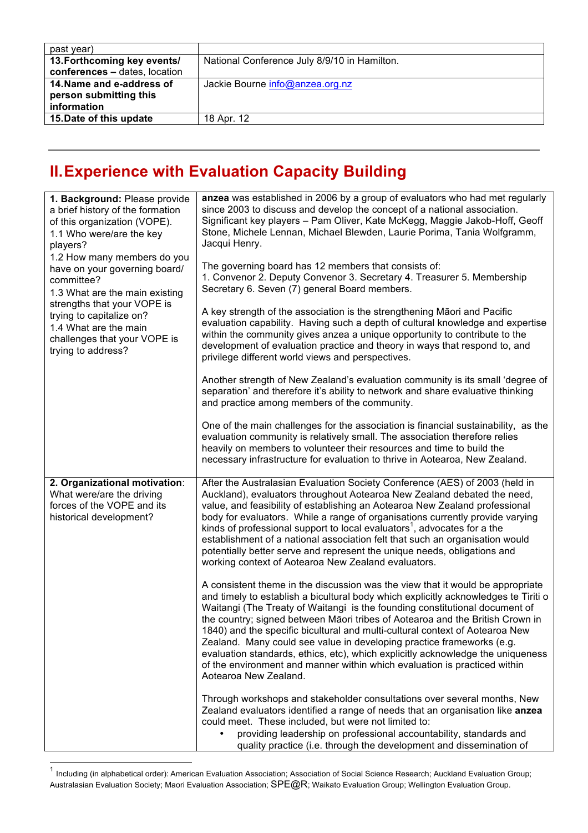| past year)                                          |                                              |
|-----------------------------------------------------|----------------------------------------------|
| 13. Forthcoming key events/                         | National Conference July 8/9/10 in Hamilton. |
| conferences - dates, location                       |                                              |
| 14. Name and e-address of<br>person submitting this | Jackie Bourne info@anzea.org.nz              |
| information                                         |                                              |
| 15. Date of this update                             | 18 Apr. 12                                   |

## **II.Experience with Evaluation Capacity Building**

| players?<br>committee? | 1. Background: Please provide<br>a brief history of the formation<br>of this organization (VOPE).<br>1.1 Who were/are the key<br>1.2 How many members do you<br>have on your governing board/<br>1.3 What are the main existing<br>strengths that your VOPE is<br>trying to capitalize on?<br>1.4 What are the main<br>challenges that your VOPE is<br>trying to address? | anzea was established in 2006 by a group of evaluators who had met regularly<br>since 2003 to discuss and develop the concept of a national association.<br>Significant key players - Pam Oliver, Kate McKegg, Maggie Jakob-Hoff, Geoff<br>Stone, Michele Lennan, Michael Blewden, Laurie Porima, Tania Wolfgramm,<br>Jacqui Henry.<br>The governing board has 12 members that consists of:<br>1. Convenor 2. Deputy Convenor 3. Secretary 4. Treasurer 5. Membership<br>Secretary 6. Seven (7) general Board members.<br>A key strength of the association is the strengthening Māori and Pacific<br>evaluation capability. Having such a depth of cultural knowledge and expertise<br>within the community gives anzea a unique opportunity to contribute to the<br>development of evaluation practice and theory in ways that respond to, and<br>privilege different world views and perspectives.<br>Another strength of New Zealand's evaluation community is its small 'degree of<br>separation' and therefore it's ability to network and share evaluative thinking<br>and practice among members of the community.<br>One of the main challenges for the association is financial sustainability, as the<br>evaluation community is relatively small. The association therefore relies<br>heavily on members to volunteer their resources and time to build the<br>necessary infrastructure for evaluation to thrive in Aotearoa, New Zealand.                                                                                                                                                                                                                                          |
|------------------------|---------------------------------------------------------------------------------------------------------------------------------------------------------------------------------------------------------------------------------------------------------------------------------------------------------------------------------------------------------------------------|-------------------------------------------------------------------------------------------------------------------------------------------------------------------------------------------------------------------------------------------------------------------------------------------------------------------------------------------------------------------------------------------------------------------------------------------------------------------------------------------------------------------------------------------------------------------------------------------------------------------------------------------------------------------------------------------------------------------------------------------------------------------------------------------------------------------------------------------------------------------------------------------------------------------------------------------------------------------------------------------------------------------------------------------------------------------------------------------------------------------------------------------------------------------------------------------------------------------------------------------------------------------------------------------------------------------------------------------------------------------------------------------------------------------------------------------------------------------------------------------------------------------------------------------------------------------------------------------------------------------------------------------------------------------------------------------------|
|                        | 2. Organizational motivation:<br>What were/are the driving<br>forces of the VOPE and its<br>historical development?                                                                                                                                                                                                                                                       | After the Australasian Evaluation Society Conference (AES) of 2003 (held in<br>Auckland), evaluators throughout Aotearoa New Zealand debated the need,<br>value, and feasibility of establishing an Aotearoa New Zealand professional<br>body for evaluators. While a range of organisations currently provide varying<br>kinds of professional support to local evaluators <sup>1</sup> , advocates for a the<br>establishment of a national association felt that such an organisation would<br>potentially better serve and represent the unique needs, obligations and<br>working context of Aotearoa New Zealand evaluators.<br>A consistent theme in the discussion was the view that it would be appropriate<br>and timely to establish a bicultural body which explicitly acknowledges te Tiriti o<br>Waitangi (The Treaty of Waitangi is the founding constitutional document of<br>the country; signed between Māori tribes of Aotearoa and the British Crown in<br>1840) and the specific bicultural and multi-cultural context of Aotearoa New<br>Zealand. Many could see value in developing practice frameworks (e.g.<br>evaluation standards, ethics, etc), which explicitly acknowledge the uniqueness<br>of the environment and manner within which evaluation is practiced within<br>Aotearoa New Zealand.<br>Through workshops and stakeholder consultations over several months, New<br>Zealand evaluators identified a range of needs that an organisation like anzea<br>could meet. These included, but were not limited to:<br>providing leadership on professional accountability, standards and<br>quality practice (i.e. through the development and dissemination of |

 $1$  Including (in alphabetical order): American Evaluation Association; Association of Social Science Research; Auckland Evaluation Group; Australasian Evaluation Society; Maori Evaluation Association; SPE@R; Waikato Evaluation Group; Wellington Evaluation Group.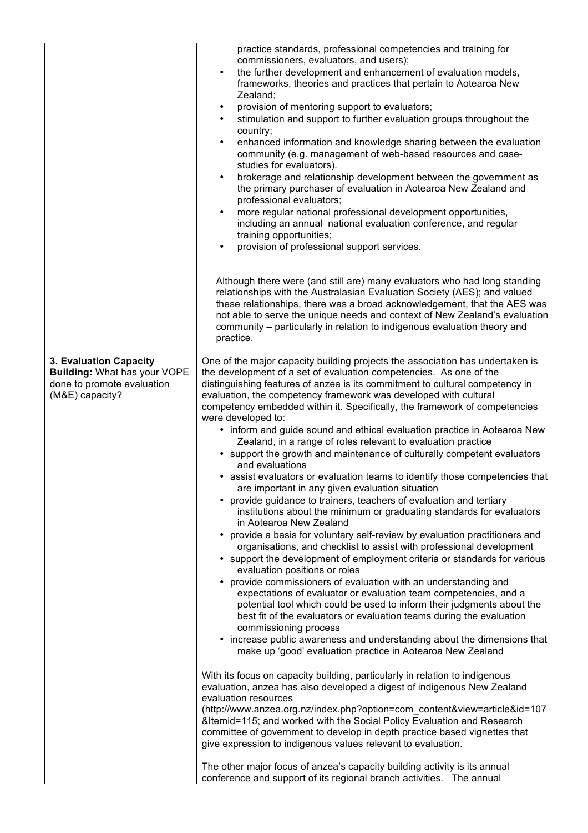|                                                                                                                | practice standards, professional competencies and training for<br>commissioners, evaluators, and users);<br>the further development and enhancement of evaluation models,<br>$\bullet$<br>frameworks, theories and practices that pertain to Aotearoa New<br>Zealand;<br>provision of mentoring support to evaluators;<br>$\bullet$<br>stimulation and support to further evaluation groups throughout the<br>country;<br>enhanced information and knowledge sharing between the evaluation<br>$\bullet$<br>community (e.g. management of web-based resources and case-<br>studies for evaluators).<br>brokerage and relationship development between the government as<br>$\bullet$<br>the primary purchaser of evaluation in Aotearoa New Zealand and<br>professional evaluators;<br>more regular national professional development opportunities,<br>$\bullet$<br>including an annual national evaluation conference, and regular<br>training opportunities;<br>provision of professional support services.                                                                                                                                                                                                                                                                                                                                                                                                                                                                                                                                                                                                                                                                                                                                                                                                                                                                                                                                                                                                                                                                                                                                                                                                                                                                                                                                              |
|----------------------------------------------------------------------------------------------------------------|-------------------------------------------------------------------------------------------------------------------------------------------------------------------------------------------------------------------------------------------------------------------------------------------------------------------------------------------------------------------------------------------------------------------------------------------------------------------------------------------------------------------------------------------------------------------------------------------------------------------------------------------------------------------------------------------------------------------------------------------------------------------------------------------------------------------------------------------------------------------------------------------------------------------------------------------------------------------------------------------------------------------------------------------------------------------------------------------------------------------------------------------------------------------------------------------------------------------------------------------------------------------------------------------------------------------------------------------------------------------------------------------------------------------------------------------------------------------------------------------------------------------------------------------------------------------------------------------------------------------------------------------------------------------------------------------------------------------------------------------------------------------------------------------------------------------------------------------------------------------------------------------------------------------------------------------------------------------------------------------------------------------------------------------------------------------------------------------------------------------------------------------------------------------------------------------------------------------------------------------------------------------------------------------------------------------------------------------------------------|
|                                                                                                                | Although there were (and still are) many evaluators who had long standing<br>relationships with the Australasian Evaluation Society (AES); and valued<br>these relationships, there was a broad acknowledgement, that the AES was<br>not able to serve the unique needs and context of New Zealand's evaluation<br>community – particularly in relation to indigenous evaluation theory and<br>practice.                                                                                                                                                                                                                                                                                                                                                                                                                                                                                                                                                                                                                                                                                                                                                                                                                                                                                                                                                                                                                                                                                                                                                                                                                                                                                                                                                                                                                                                                                                                                                                                                                                                                                                                                                                                                                                                                                                                                                    |
| 3. Evaluation Capacity<br><b>Building: What has your VOPE</b><br>done to promote evaluation<br>(M&E) capacity? | One of the major capacity building projects the association has undertaken is<br>the development of a set of evaluation competencies. As one of the<br>distinguishing features of anzea is its commitment to cultural competency in<br>evaluation, the competency framework was developed with cultural<br>competency embedded within it. Specifically, the framework of competencies<br>were developed to:<br>• inform and guide sound and ethical evaluation practice in Aotearoa New<br>Zealand, in a range of roles relevant to evaluation practice<br>• support the growth and maintenance of culturally competent evaluators<br>and evaluations<br>• assist evaluators or evaluation teams to identify those competencies that<br>are important in any given evaluation situation<br>provide guidance to trainers, teachers of evaluation and tertiary<br>$\bullet$<br>institutions about the minimum or graduating standards for evaluators<br>in Aotearoa New Zealand<br>provide a basis for voluntary self-review by evaluation practitioners and<br>٠<br>organisations, and checklist to assist with professional development<br>• support the development of employment criteria or standards for various<br>evaluation positions or roles<br>• provide commissioners of evaluation with an understanding and<br>expectations of evaluator or evaluation team competencies, and a<br>potential tool which could be used to inform their judgments about the<br>best fit of the evaluators or evaluation teams during the evaluation<br>commissioning process<br>• increase public awareness and understanding about the dimensions that<br>make up 'good' evaluation practice in Aotearoa New Zealand<br>With its focus on capacity building, particularly in relation to indigenous<br>evaluation, anzea has also developed a digest of indigenous New Zealand<br>evaluation resources<br>(http://www.anzea.org.nz/index.php?option=com_content&view=article&id=107<br>&Itemid=115; and worked with the Social Policy Evaluation and Research<br>committee of government to develop in depth practice based vignettes that<br>give expression to indigenous values relevant to evaluation.<br>The other major focus of anzea's capacity building activity is its annual<br>conference and support of its regional branch activities. The annual |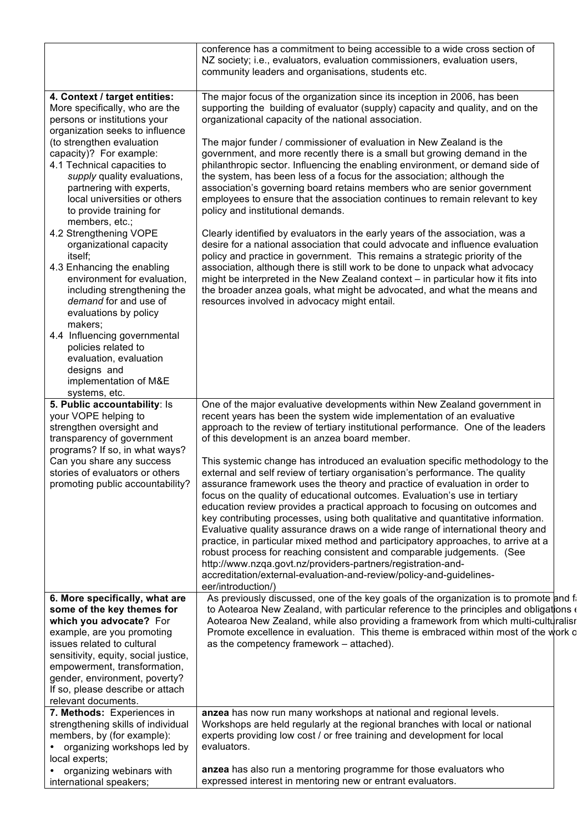|                                                                                                                                                                                                                                                                                                 | conference has a commitment to being accessible to a wide cross section of<br>NZ society; i.e., evaluators, evaluation commissioners, evaluation users,<br>community leaders and organisations, students etc.                                                                                                                                                                                                                                                                                                                                                                                                                                                                                                                                                                                                                                                                                                                                                                                      |  |  |  |
|-------------------------------------------------------------------------------------------------------------------------------------------------------------------------------------------------------------------------------------------------------------------------------------------------|----------------------------------------------------------------------------------------------------------------------------------------------------------------------------------------------------------------------------------------------------------------------------------------------------------------------------------------------------------------------------------------------------------------------------------------------------------------------------------------------------------------------------------------------------------------------------------------------------------------------------------------------------------------------------------------------------------------------------------------------------------------------------------------------------------------------------------------------------------------------------------------------------------------------------------------------------------------------------------------------------|--|--|--|
| 4. Context / target entities:                                                                                                                                                                                                                                                                   | The major focus of the organization since its inception in 2006, has been                                                                                                                                                                                                                                                                                                                                                                                                                                                                                                                                                                                                                                                                                                                                                                                                                                                                                                                          |  |  |  |
| More specifically, who are the<br>persons or institutions your<br>organization seeks to influence                                                                                                                                                                                               | supporting the building of evaluator (supply) capacity and quality, and on the<br>organizational capacity of the national association.                                                                                                                                                                                                                                                                                                                                                                                                                                                                                                                                                                                                                                                                                                                                                                                                                                                             |  |  |  |
| (to strengthen evaluation<br>capacity)? For example:<br>4.1 Technical capacities to<br>supply quality evaluations,<br>partnering with experts,<br>local universities or others<br>to provide training for<br>members, etc.;                                                                     | The major funder / commissioner of evaluation in New Zealand is the<br>government, and more recently there is a small but growing demand in the<br>philanthropic sector. Influencing the enabling environment, or demand side of<br>the system, has been less of a focus for the association; although the<br>association's governing board retains members who are senior government<br>employees to ensure that the association continues to remain relevant to key<br>policy and institutional demands.                                                                                                                                                                                                                                                                                                                                                                                                                                                                                         |  |  |  |
| 4.2 Strengthening VOPE<br>organizational capacity<br>itself;                                                                                                                                                                                                                                    | Clearly identified by evaluators in the early years of the association, was a<br>desire for a national association that could advocate and influence evaluation<br>policy and practice in government. This remains a strategic priority of the                                                                                                                                                                                                                                                                                                                                                                                                                                                                                                                                                                                                                                                                                                                                                     |  |  |  |
| 4.3 Enhancing the enabling<br>environment for evaluation,<br>including strengthening the<br>demand for and use of<br>evaluations by policy<br>makers:<br>4.4 Influencing governmental<br>policies related to<br>evaluation, evaluation<br>designs and<br>implementation of M&E<br>systems, etc. | association, although there is still work to be done to unpack what advocacy<br>might be interpreted in the New Zealand context – in particular how it fits into<br>the broader anzea goals, what might be advocated, and what the means and<br>resources involved in advocacy might entail.                                                                                                                                                                                                                                                                                                                                                                                                                                                                                                                                                                                                                                                                                                       |  |  |  |
| 5. Public accountability: Is<br>your VOPE helping to<br>strengthen oversight and<br>transparency of government                                                                                                                                                                                  | One of the major evaluative developments within New Zealand government in<br>recent years has been the system wide implementation of an evaluative<br>approach to the review of tertiary institutional performance. One of the leaders<br>of this development is an anzea board member.                                                                                                                                                                                                                                                                                                                                                                                                                                                                                                                                                                                                                                                                                                            |  |  |  |
| programs? If so, in what ways?<br>Can you share any success<br>stories of evaluators or others<br>promoting public accountability?                                                                                                                                                              | This systemic change has introduced an evaluation specific methodology to the<br>external and self review of tertiary organisation's performance. The quality<br>assurance framework uses the theory and practice of evaluation in order to<br>focus on the quality of educational outcomes. Evaluation's use in tertiary<br>education review provides a practical approach to focusing on outcomes and<br>key contributing processes, using both qualitative and quantitative information.<br>Evaluative quality assurance draws on a wide range of international theory and<br>practice, in particular mixed method and participatory approaches, to arrive at a<br>robust process for reaching consistent and comparable judgements. (See<br>http://www.nzqa.govt.nz/providers-partners/registration-and-<br>accreditation/external-evaluation-and-review/policy-and-guidelines-<br>eer/introduction/)<br>As previously discussed, one of the key goals of the organization is to promote and f |  |  |  |
| 6. More specifically, what are<br>some of the key themes for<br>which you advocate? For                                                                                                                                                                                                         | to Aotearoa New Zealand, with particular reference to the principles and obligations of<br>Aotearoa New Zealand, while also providing a framework from which multi-culturalist                                                                                                                                                                                                                                                                                                                                                                                                                                                                                                                                                                                                                                                                                                                                                                                                                     |  |  |  |
| example, are you promoting<br>issues related to cultural<br>sensitivity, equity, social justice,<br>empowerment, transformation,<br>gender, environment, poverty?<br>If so, please describe or attach                                                                                           | Promote excellence in evaluation. This theme is embraced within most of the work of<br>as the competency framework - attached).                                                                                                                                                                                                                                                                                                                                                                                                                                                                                                                                                                                                                                                                                                                                                                                                                                                                    |  |  |  |
| relevant documents.<br>7. Methods: Experiences in<br>strengthening skills of individual<br>members, by (for example):<br>organizing workshops led by<br>local experts;                                                                                                                          | anzea has now run many workshops at national and regional levels.<br>Workshops are held regularly at the regional branches with local or national<br>experts providing low cost / or free training and development for local<br>evaluators.                                                                                                                                                                                                                                                                                                                                                                                                                                                                                                                                                                                                                                                                                                                                                        |  |  |  |
| organizing webinars with<br>international speakers;                                                                                                                                                                                                                                             | anzea has also run a mentoring programme for those evaluators who<br>expressed interest in mentoring new or entrant evaluators.                                                                                                                                                                                                                                                                                                                                                                                                                                                                                                                                                                                                                                                                                                                                                                                                                                                                    |  |  |  |
|                                                                                                                                                                                                                                                                                                 |                                                                                                                                                                                                                                                                                                                                                                                                                                                                                                                                                                                                                                                                                                                                                                                                                                                                                                                                                                                                    |  |  |  |